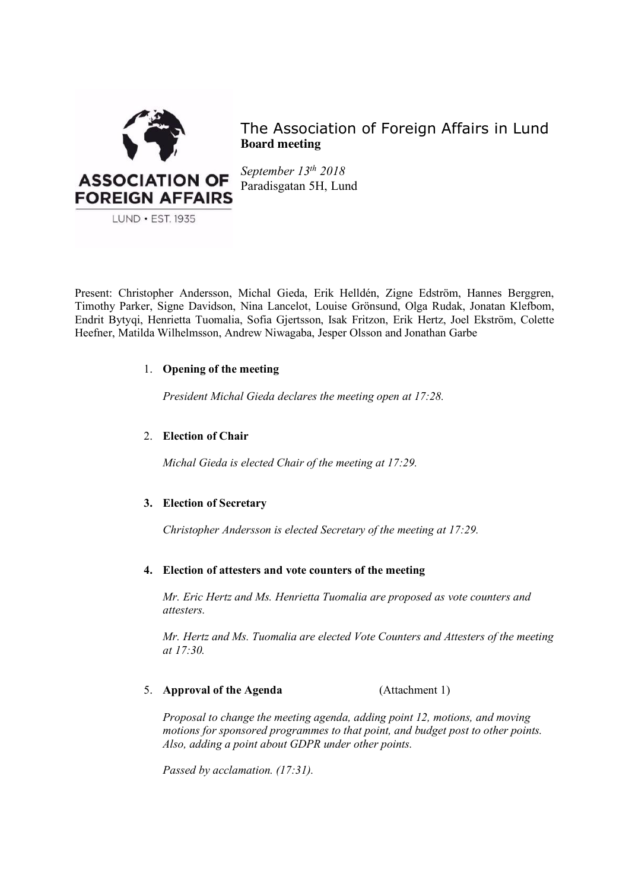

The Association of Foreign Affairs in Lund **Board meeting**

*September 13th 2018* Paradisgatan 5H, Lund

Present: Christopher Andersson, Michal Gieda, Erik Helldén, Zigne Edström, Hannes Berggren, Timothy Parker, Signe Davidson, Nina Lancelot, Louise Grönsund, Olga Rudak, Jonatan Klefbom, Endrit Bytyqi, Henrietta Tuomalia, Sofia Gjertsson, Isak Fritzon, Erik Hertz, Joel Ekström, Colette Heefner, Matilda Wilhelmsson, Andrew Niwagaba, Jesper Olsson and Jonathan Garbe

# 1. **Opening of the meeting**

*President Michal Gieda declares the meeting open at 17:28.*

# 2. **Election of Chair**

*Michal Gieda is elected Chair of the meeting at 17:29.*

# **3. Election of Secretary**

*Christopher Andersson is elected Secretary of the meeting at 17:29.*

## **4. Election of attesters and vote counters of the meeting**

*Mr. Eric Hertz and Ms. Henrietta Tuomalia are proposed as vote counters and attesters.* 

*Mr. Hertz and Ms. Tuomalia are elected Vote Counters and Attesters of the meeting at 17:30.*

## 5. **Approval of the Agenda** (Attachment 1)

*Proposal to change the meeting agenda, adding point 12, motions, and moving motions for sponsored programmes to that point, and budget post to other points. Also, adding a point about GDPR under other points.* 

*Passed by acclamation. (17:31).*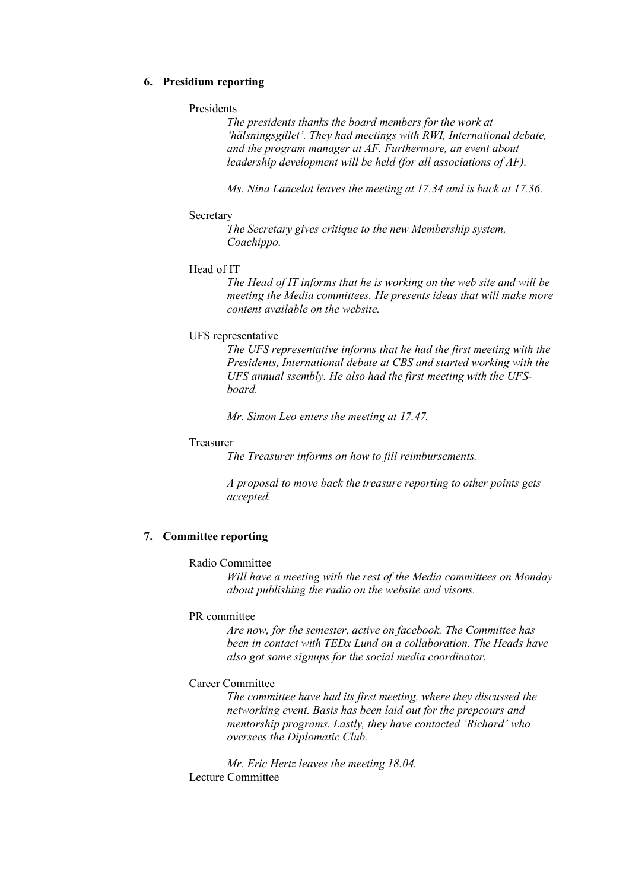### **6. Presidium reporting**

#### Presidents

*The presidents thanks the board members for the work at 'hälsningsgillet'. They had meetings with RWI, International debate, and the program manager at AF. Furthermore, an event about leadership development will be held (for all associations of AF).* 

*Ms. Nina Lancelot leaves the meeting at 17.34 and is back at 17.36.*

#### **Secretary**

*The Secretary gives critique to the new Membership system, Coachippo.*

#### Head of IT

*The Head of IT informs that he is working on the web site and will be meeting the Media committees. He presents ideas that will make more content available on the website.*

#### UFS representative

*The UFS representative informs that he had the first meeting with the Presidents, International debate at CBS and started working with the UFS annual ssembly. He also had the first meeting with the UFSboard.* 

*Mr. Simon Leo enters the meeting at 17.47.*

### Treasurer

*The Treasurer informs on how to fill reimbursements.* 

*A proposal to move back the treasure reporting to other points gets accepted.* 

## **7. Committee reporting**

### Radio Committee

*Will have a meeting with the rest of the Media committees on Monday about publishing the radio on the website and visons.* 

### PR committee

*Are now, for the semester, active on facebook. The Committee has been in contact with TEDx Lund on a collaboration. The Heads have also got some signups for the social media coordinator.* 

### Career Committee

*The committee have had its first meeting, where they discussed the networking event. Basis has been laid out for the prepcours and mentorship programs. Lastly, they have contacted 'Richard' who oversees the Diplomatic Club.* 

*Mr. Eric Hertz leaves the meeting 18.04.* Lecture Committee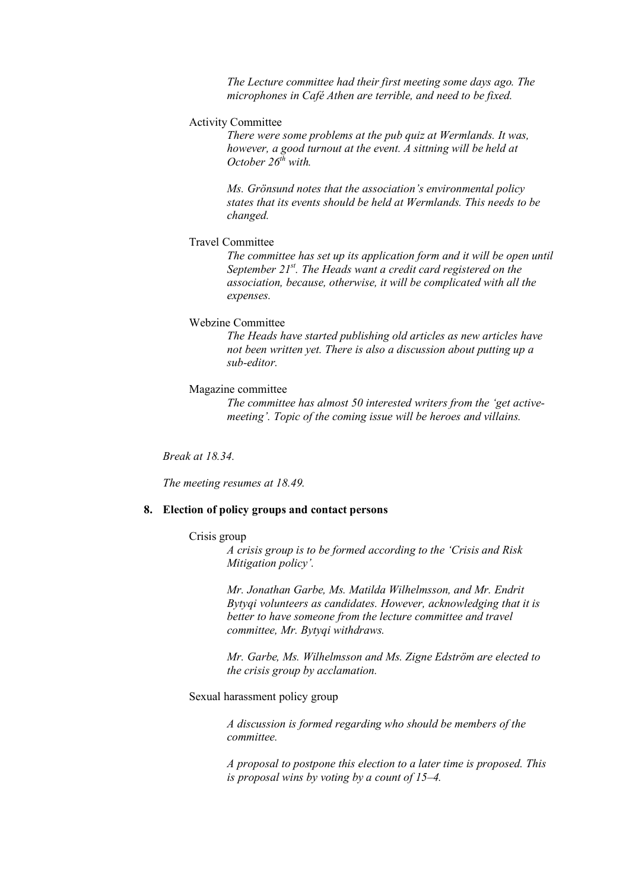*The Lecture committee had their first meeting some days ago. The microphones in Café Athen are terrible, and need to be fixed.*

## Activity Committee

*There were some problems at the pub quiz at Wermlands. It was, however, a good turnout at the event. A sittning will be held at October 26th with.* 

*Ms. Grönsund notes that the association's environmental policy states that its events should be held at Wermlands. This needs to be changed.* 

### Travel Committee

*The committee has set up its application form and it will be open until September 21st. The Heads want a credit card registered on the association, because, otherwise, it will be complicated with all the expenses.*

### Webzine Committee

*The Heads have started publishing old articles as new articles have not been written yet. There is also a discussion about putting up a sub-editor.* 

## Magazine committee

*The committee has almost 50 interested writers from the 'get activemeeting'. Topic of the coming issue will be heroes and villains.* 

*Break at 18.34.*

*The meeting resumes at 18.49.*

### **8. Election of policy groups and contact persons**

#### Crisis group

*A crisis group is to be formed according to the 'Crisis and Risk Mitigation policy'.* 

*Mr. Jonathan Garbe, Ms. Matilda Wilhelmsson, and Mr. Endrit Bytyqi volunteers as candidates. However, acknowledging that it is better to have someone from the lecture committee and travel committee, Mr. Bytyqi withdraws.* 

*Mr. Garbe, Ms. Wilhelmsson and Ms. Zigne Edström are elected to the crisis group by acclamation.*

Sexual harassment policy group

*A discussion is formed regarding who should be members of the committee.* 

*A proposal to postpone this election to a later time is proposed. This is proposal wins by voting by a count of 15–4.*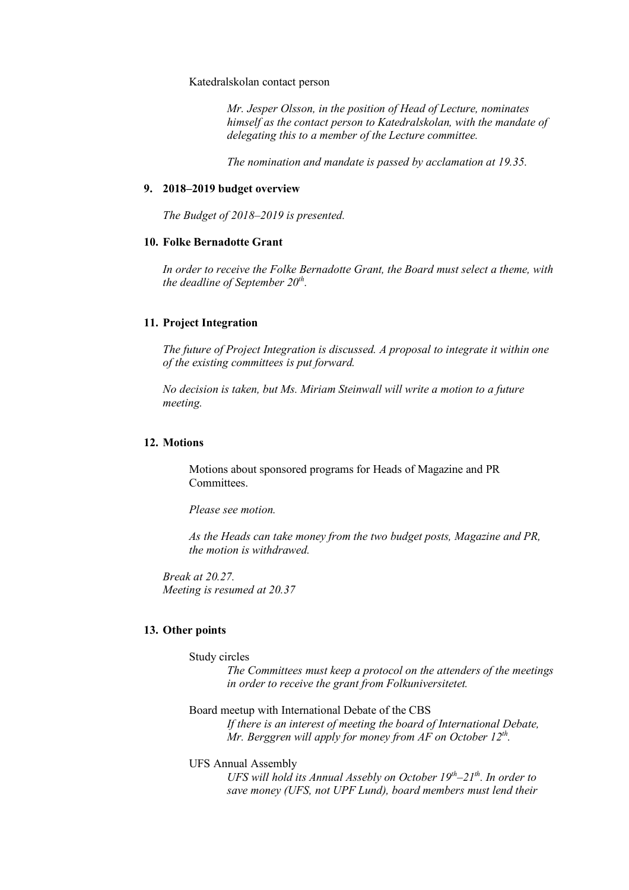### Katedralskolan contact person

*Mr. Jesper Olsson, in the position of Head of Lecture, nominates himself as the contact person to Katedralskolan, with the mandate of delegating this to a member of the Lecture committee.* 

*The nomination and mandate is passed by acclamation at 19.35.* 

#### **9. 2018–2019 budget overview**

*The Budget of 2018–2019 is presented.* 

# **10. Folke Bernadotte Grant**

*In order to receive the Folke Bernadotte Grant, the Board must select a theme, with the deadline of September 20<sup>th</sup>.* 

## **11. Project Integration**

*The future of Project Integration is discussed. A proposal to integrate it within one of the existing committees is put forward.* 

*No decision is taken, but Ms. Miriam Steinwall will write a motion to a future meeting.* 

### **12. Motions**

Motions about sponsored programs for Heads of Magazine and PR **Committees** 

*Please see motion.* 

*As the Heads can take money from the two budget posts, Magazine and PR, the motion is withdrawed.* 

*Break at 20.27. Meeting is resumed at 20.37*

## **13. Other points**

Study circles

*The Committees must keep a protocol on the attenders of the meetings in order to receive the grant from Folkuniversitetet.*

Board meetup with International Debate of the CBS

*If there is an interest of meeting the board of International Debate, Mr. Berggren will apply for money from AF on October 12th.*

UFS Annual Assembly

*UFS will hold its Annual Assebly on October 19th–21th. In order to save money (UFS, not UPF Lund), board members must lend their*